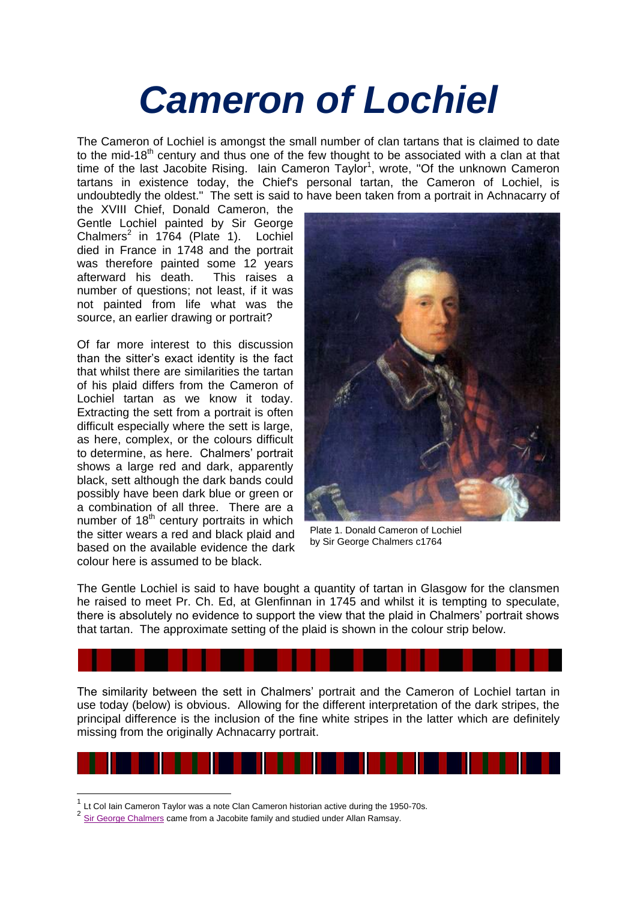## *Cameron of Lochiel*

The Cameron of Lochiel is amongst the small number of clan tartans that is claimed to date to the mid-18<sup>th</sup> century and thus one of the few thought to be associated with a clan at that time of the last Jacobite Rising. Iain Cameron Taylor<sup>1</sup>, wrote, "Of the unknown Cameron tartans in existence today, the Chief's personal tartan, the Cameron of Lochiel, is undoubtedly the oldest." The sett is said to have been taken from a portrait in Achnacarry of

the XVIII Chief, Donald Cameron, the Gentle Lochiel painted by Sir George Chalmers $2$  in 1764 (Plate 1). Lochiel died in France in 1748 and the portrait was therefore painted some 12 years afterward his death. This raises a number of questions; not least, if it was not painted from life what was the source, an earlier drawing or portrait?

Of far more interest to this discussion than the sitter's exact identity is the fact that whilst there are similarities the tartan of his plaid differs from the Cameron of Lochiel tartan as we know it today. Extracting the sett from a portrait is often difficult especially where the sett is large, as here, complex, or the colours difficult to determine, as here. Chalmers' portrait shows a large red and dark, apparently black, sett although the dark bands could possibly have been dark blue or green or a combination of all three. There are a number of  $18<sup>th</sup>$  century portraits in which the sitter wears a red and black plaid and based on the available evidence the dark colour here is assumed to be black.



Plate 1. Donald Cameron of Lochiel by Sir George Chalmers c1764

The Gentle Lochiel is said to have bought a quantity of tartan in Glasgow for the clansmen he raised to meet Pr. Ch. Ed, at Glenfinnan in 1745 and whilst it is tempting to speculate, there is absolutely no evidence to support the view that the plaid in Chalmers' portrait shows that tartan. The approximate setting of the plaid is shown in the colour strip below.

The similarity between the sett in Chalmers' portrait and the Cameron of Lochiel tartan in use today (below) is obvious. Allowing for the different interpretation of the dark stripes, the principal difference is the inclusion of the fine white stripes in the latter which are definitely missing from the originally Achnacarry portrait.



<sup>&</sup>lt;sup>2</sup> [Sir George Chalmers](http://www.jameslindlibrary.org/illustrating/articles/sir-george-chalmers-c-1720-1791-portraitist-of-james-lind) came from a Jacobite family and studied under Allan Ramsay.

1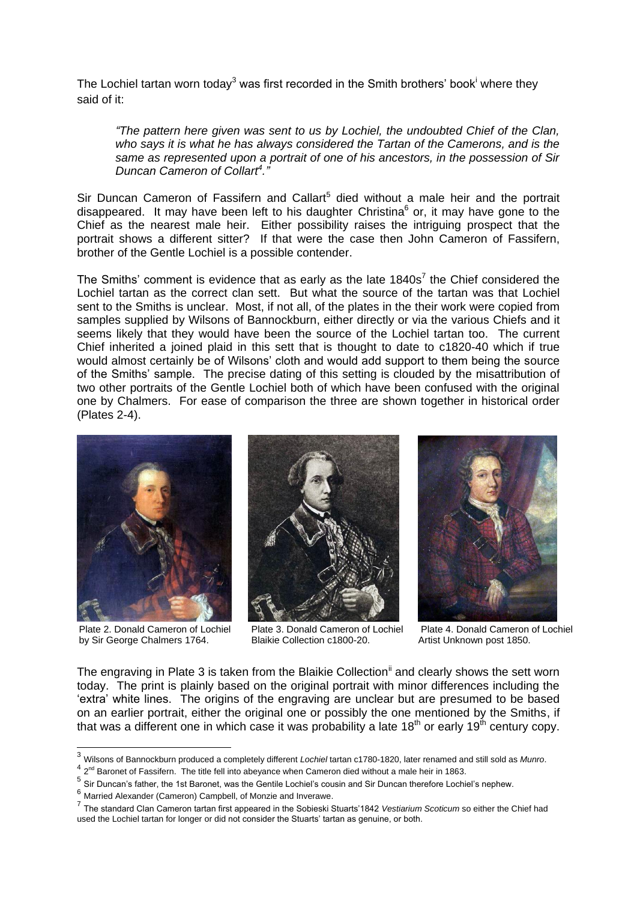The Lochiel tartan worn today<sup>3</sup> was first recorded in the Smith brothers' book<sup>i</sup> where they said of it:

*"The pattern here given was sent to us by Lochiel, the undoubted Chief of the Clan, who says it is what he has always considered the Tartan of the Camerons, and is the same as represented upon a portrait of one of his ancestors, in the possession of Sir Duncan Cameron of Collart<sup>4</sup> ."*

Sir Duncan Cameron of Fassifern and Callart<sup>5</sup> died without a male heir and the portrait disappeared. It may have been left to his daughter Christina<sup>6</sup> or, it may have gone to the Chief as the nearest male heir. Either possibility raises the intriguing prospect that the portrait shows a different sitter? If that were the case then John Cameron of Fassifern, brother of the Gentle Lochiel is a possible contender.

The Smiths' comment is evidence that as early as the late  $1840s<sup>7</sup>$  the Chief considered the Lochiel tartan as the correct clan sett. But what the source of the tartan was that Lochiel sent to the Smiths is unclear. Most, if not all, of the plates in the their work were copied from samples supplied by Wilsons of Bannockburn, either directly or via the various Chiefs and it seems likely that they would have been the source of the Lochiel tartan too. The current Chief inherited a joined plaid in this sett that is thought to date to c1820-40 which if true would almost certainly be of Wilsons' cloth and would add support to them being the source of the Smiths' sample. The precise dating of this setting is clouded by the misattribution of two other portraits of the Gentle Lochiel both of which have been confused with the original one by Chalmers. For ease of comparison the three are shown together in historical order (Plates 2-4).



Plate 2. Donald Cameron of Lochiel by Sir George Chalmers 1764.



Plate 3. Donald Cameron of Lochiel Blaikie Collection c1800-20.



Plate 4. Donald Cameron of Lochiel Artist Unknown post 1850.

The engraving in Plate 3 is taken from the Blaikie Collection<sup>ii</sup> and clearly shows the sett worn today. The print is plainly based on the original portrait with minor differences including the 'extra' white lines. The origins of the engraving are unclear but are presumed to be based on an earlier portrait, either the original one or possibly the one mentioned by the Smiths, if that was a different one in which case it was probability a late 18<sup>th</sup> or early 19<sup>th</sup> century copy.

<sup>3</sup> Wilsons of Bannockburn produced a completely different *Lochiel* tartan c1780-1820, later renamed and still sold as *Munro*.

 $^4$  2<sup>nd</sup> Baronet of Fassifern. The title fell into abeyance when Cameron died without a male heir in 1863.

<sup>5</sup> Sir Duncan's father, the 1st Baronet, was the Gentile Lochiel's cousin and Sir Duncan therefore Lochiel's nephew.

<sup>6</sup> Married Alexander (Cameron) Campbell, of Monzie and Inverawe.

<sup>7</sup> The standard Clan Cameron tartan first appeared in the Sobieski Stuarts'1842 *Vestiarium Scoticum* so either the Chief had used the Lochiel tartan for longer or did not consider the Stuarts' tartan as genuine, or both.